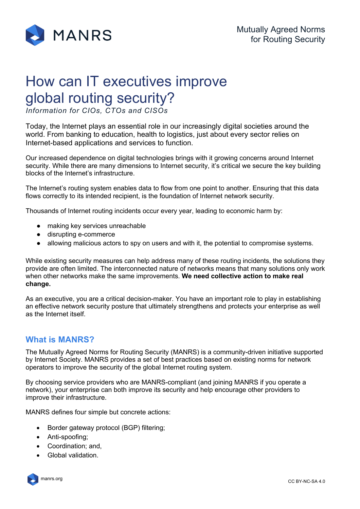

# How can IT executives improve global routing security?

*Information for CIOs, CTOs and CISOs*

Today, the Internet plays an essential role in our increasingly digital societies around the world. From banking to education, health to logistics, just about every sector relies on Internet-based applications and services to function.

Our increased dependence on digital technologies brings with it growing concerns around Internet security. While there are many dimensions to Internet security, it's critical we secure the key building blocks of the Internet's infrastructure.

The Internet's routing system enables data to flow from one point to another. Ensuring that this data flows correctly to its intended recipient, is the foundation of Internet network security.

Thousands of Internet routing incidents occur every year, leading to economic harm by:

- making key services unreachable
- disrupting e-commerce
- allowing malicious actors to spy on users and with it, the potential to compromise systems.

While existing security measures can help address many of these routing incidents, the solutions they provide are often limited. The interconnected nature of networks means that many solutions only work when other networks make the same improvements. **We need collective action to make real change.**

As an executive, you are a critical decision-maker. You have an important role to play in establishing an effective network security posture that ultimately strengthens and protects your enterprise as well as the Internet itself.

## **What is MANRS?**

The Mutually Agreed Norms for Routing Security (MANRS) is a community-driven initiative supported by Internet Society. MANRS provides a set of best practices based on existing norms for network operators to improve the security of the global Internet routing system.

By choosing service providers who are MANRS-compliant (and joining MANRS if you operate a network), your enterprise can both improve its security and help encourage other providers to improve their infrastructure.

MANRS defines four simple but concrete actions:

- Border gateway protocol (BGP) filtering;
- Anti-spoofing;
- Coordination; and,
- Global validation.

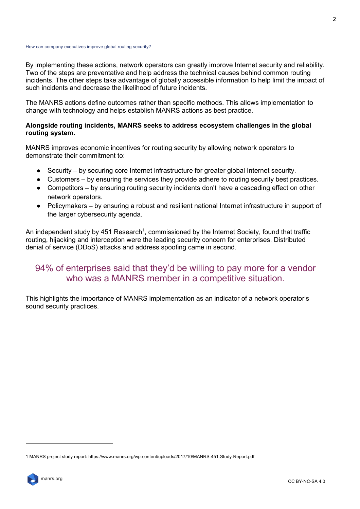#### How can company executives improve global routing security?

By implementing these actions, network operators can greatly improve Internet security and reliability. Two of the steps are preventative and help address the technical causes behind common routing incidents. The other steps take advantage of globally accessible information to help limit the impact of such incidents and decrease the likelihood of future incidents.

The MANRS actions define outcomes rather than specific methods. This allows implementation to change with technology and helps establish MANRS actions as best practice.

### **Alongside routing incidents, MANRS seeks to address ecosystem challenges in the global routing system.**

MANRS improves economic incentives for routing security by allowing network operators to demonstrate their commitment to:

- Security by securing core Internet infrastructure for greater global Internet security.
- Customers by ensuring the services they provide adhere to routing security best practices.
- Competitors by ensuring routing security incidents don't have a cascading effect on other network operators.
- Policymakers by ensuring a robust and resilient national Internet infrastructure in support of the larger cybersecurity agenda.

An independent study by 451 Research<sup>1</sup>, commissioned by the Internet Society, found that traffic routing, hijacking and interception were the leading security concern for enterprises. Distributed denial of service (DDoS) attacks and address spoofing came in second.

## 94% of enterprises said that they'd be willing to pay more for a vendor who was a MANRS member in a competitive situation.

This highlights the importance of MANRS implementation as an indicator of a network operator's sound security practices.

<sup>1</sup> MANRS project study report: https://www.manrs.org/wp-content/uploads/2017/10/MANRS-451-Study-Report.pdf

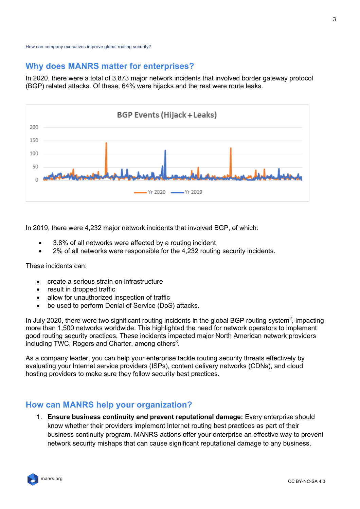## **Why does MANRS matter for enterprises?**

In 2020, there were a total of 3,873 major network incidents that involved border gateway protocol (BGP) related attacks. Of these, 64% were hijacks and the rest were route leaks.



In 2019, there were 4,232 major network incidents that involved BGP, of which:

- 3.8% of all networks were affected by a routing incident
- 2% of all networks were responsible for the 4,232 routing security incidents.

These incidents can:

- create a serious strain on infrastructure
- result in dropped traffic
- allow for unauthorized inspection of traffic
- be used to perform Denial of Service (DoS) attacks.

In July 2020, there were two significant routing incidents in the global BGP routing system<sup>2</sup>, impacting more than 1,500 networks worldwide. This highlighted the need for network operators to implement good routing security practices. These incidents impacted major North American network providers including TWC, Rogers and Charter, among others<sup>3</sup>.

As a company leader, you can help your enterprise tackle routing security threats effectively by evaluating your Internet service providers (ISPs), content delivery networks (CDNs), and cloud hosting providers to make sure they follow security best practices.

## **How can MANRS help your organization?**

1. **Ensure business continuity and prevent reputational damage:** Every enterprise should know whether their providers implement Internet routing best practices as part of their business continuity program. MANRS actions offer your enterprise an effective way to prevent network security mishaps that can cause significant reputational damage to any business.